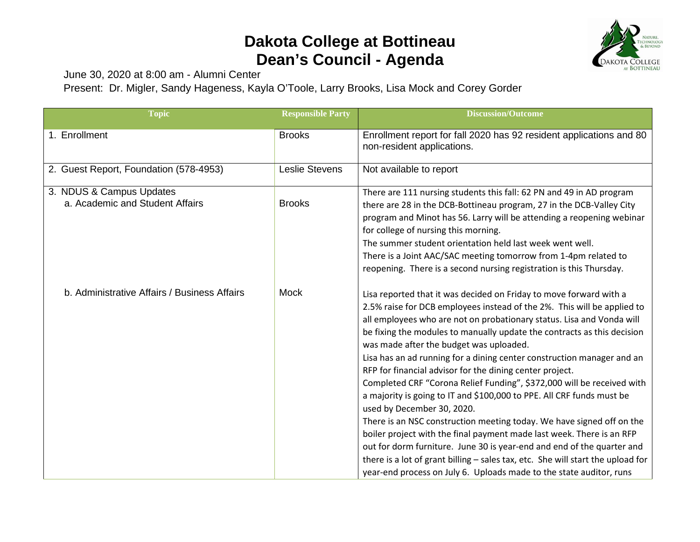## **Dakota College at Bottineau Dean's Council - Agenda**



June 30, 2020 at 8:00 am - Alumni Center

Present: Dr. Migler, Sandy Hageness, Kayla O'Toole, Larry Brooks, Lisa Mock and Corey Gorder

| <b>Topic</b>                                                | <b>Responsible Party</b> | <b>Discussion/Outcome</b>                                                                                                                                                                                                                                                                                                                                                                                                                                                                                                                                                                                                                                                                                                                                                                                                                                                                                                                                                                                                                                 |
|-------------------------------------------------------------|--------------------------|-----------------------------------------------------------------------------------------------------------------------------------------------------------------------------------------------------------------------------------------------------------------------------------------------------------------------------------------------------------------------------------------------------------------------------------------------------------------------------------------------------------------------------------------------------------------------------------------------------------------------------------------------------------------------------------------------------------------------------------------------------------------------------------------------------------------------------------------------------------------------------------------------------------------------------------------------------------------------------------------------------------------------------------------------------------|
| 1. Enrollment                                               | <b>Brooks</b>            | Enrollment report for fall 2020 has 92 resident applications and 80<br>non-resident applications.                                                                                                                                                                                                                                                                                                                                                                                                                                                                                                                                                                                                                                                                                                                                                                                                                                                                                                                                                         |
| 2. Guest Report, Foundation (578-4953)                      | <b>Leslie Stevens</b>    | Not available to report                                                                                                                                                                                                                                                                                                                                                                                                                                                                                                                                                                                                                                                                                                                                                                                                                                                                                                                                                                                                                                   |
| 3. NDUS & Campus Updates<br>a. Academic and Student Affairs | <b>Brooks</b>            | There are 111 nursing students this fall: 62 PN and 49 in AD program<br>there are 28 in the DCB-Bottineau program, 27 in the DCB-Valley City<br>program and Minot has 56. Larry will be attending a reopening webinar<br>for college of nursing this morning.<br>The summer student orientation held last week went well.<br>There is a Joint AAC/SAC meeting tomorrow from 1-4pm related to<br>reopening. There is a second nursing registration is this Thursday.                                                                                                                                                                                                                                                                                                                                                                                                                                                                                                                                                                                       |
| b. Administrative Affairs / Business Affairs                | <b>Mock</b>              | Lisa reported that it was decided on Friday to move forward with a<br>2.5% raise for DCB employees instead of the 2%. This will be applied to<br>all employees who are not on probationary status. Lisa and Vonda will<br>be fixing the modules to manually update the contracts as this decision<br>was made after the budget was uploaded.<br>Lisa has an ad running for a dining center construction manager and an<br>RFP for financial advisor for the dining center project.<br>Completed CRF "Corona Relief Funding", \$372,000 will be received with<br>a majority is going to IT and \$100,000 to PPE. All CRF funds must be<br>used by December 30, 2020.<br>There is an NSC construction meeting today. We have signed off on the<br>boiler project with the final payment made last week. There is an RFP<br>out for dorm furniture. June 30 is year-end and end of the quarter and<br>there is a lot of grant billing - sales tax, etc. She will start the upload for<br>year-end process on July 6. Uploads made to the state auditor, runs |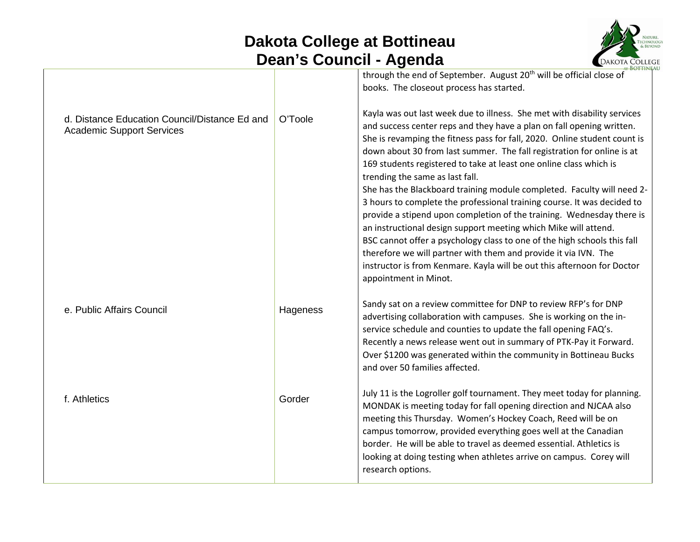## **Dakota College at Bottineau Dean's Council - Agenda**



| d. Distance Education Council/Distance Ed and<br><b>Academic Support Services</b> | O'Toole  | <del>at</del> BOTTINE<br>through the end of September. August 20 <sup>th</sup> will be official close of<br>books. The closeout process has started.<br>Kayla was out last week due to illness. She met with disability services<br>and success center reps and they have a plan on fall opening written.<br>She is revamping the fitness pass for fall, 2020. Online student count is<br>down about 30 from last summer. The fall registration for online is at<br>169 students registered to take at least one online class which is<br>trending the same as last fall.<br>She has the Blackboard training module completed. Faculty will need 2-<br>3 hours to complete the professional training course. It was decided to<br>provide a stipend upon completion of the training. Wednesday there is<br>an instructional design support meeting which Mike will attend.<br>BSC cannot offer a psychology class to one of the high schools this fall<br>therefore we will partner with them and provide it via IVN. The<br>instructor is from Kenmare. Kayla will be out this afternoon for Doctor<br>appointment in Minot. |
|-----------------------------------------------------------------------------------|----------|-------------------------------------------------------------------------------------------------------------------------------------------------------------------------------------------------------------------------------------------------------------------------------------------------------------------------------------------------------------------------------------------------------------------------------------------------------------------------------------------------------------------------------------------------------------------------------------------------------------------------------------------------------------------------------------------------------------------------------------------------------------------------------------------------------------------------------------------------------------------------------------------------------------------------------------------------------------------------------------------------------------------------------------------------------------------------------------------------------------------------------|
| e. Public Affairs Council                                                         | Hageness | Sandy sat on a review committee for DNP to review RFP's for DNP<br>advertising collaboration with campuses. She is working on the in-<br>service schedule and counties to update the fall opening FAQ's.<br>Recently a news release went out in summary of PTK-Pay it Forward.<br>Over \$1200 was generated within the community in Bottineau Bucks<br>and over 50 families affected.                                                                                                                                                                                                                                                                                                                                                                                                                                                                                                                                                                                                                                                                                                                                         |
| f. Athletics                                                                      | Gorder   | July 11 is the Logroller golf tournament. They meet today for planning.<br>MONDAK is meeting today for fall opening direction and NJCAA also<br>meeting this Thursday. Women's Hockey Coach, Reed will be on<br>campus tomorrow, provided everything goes well at the Canadian<br>border. He will be able to travel as deemed essential. Athletics is<br>looking at doing testing when athletes arrive on campus. Corey will<br>research options.                                                                                                                                                                                                                                                                                                                                                                                                                                                                                                                                                                                                                                                                             |